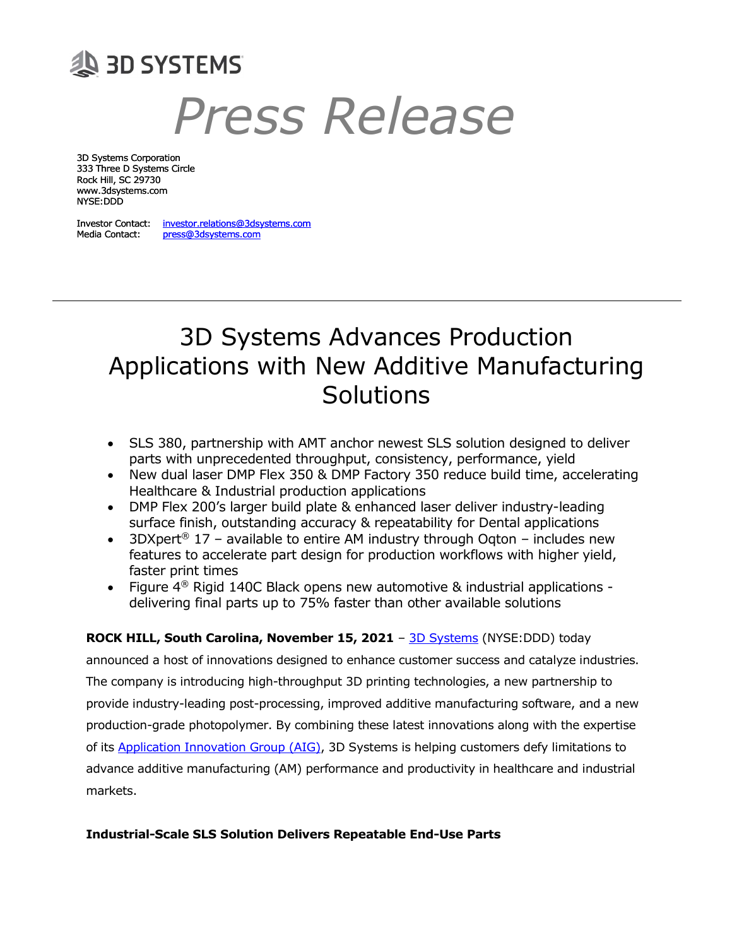

# Press Release

3D Systems Corporation 333 Three D Systems Circle Rock Hill, SC 29730 www.3dsystems.com NYSE:DDD

Investor Contact: investor.relations@3dsystems.com Media Contact: press@3dsystems.com

## 3D Systems Advances Production Applications with New Additive Manufacturing Solutions

- SLS 380, partnership with AMT anchor newest SLS solution designed to deliver parts with unprecedented throughput, consistency, performance, yield
- New dual laser DMP Flex 350 & DMP Factory 350 reduce build time, accelerating Healthcare & Industrial production applications
- DMP Flex 200's larger build plate & enhanced laser deliver industry-leading surface finish, outstanding accuracy & repeatability for Dental applications
- 3DXpert<sup>®</sup> 17 available to entire AM industry through Ogton includes new features to accelerate part design for production workflows with higher yield, faster print times
- Figure  $4^\circ$  Rigid 140C Black opens new automotive & industrial applications delivering final parts up to 75% faster than other available solutions

### ROCK HILL, South Carolina, November 15, 2021 - 3D Systems (NYSE:DDD) today

announced a host of innovations designed to enhance customer success and catalyze industries. The company is introducing high-throughput 3D printing technologies, a new partnership to provide industry-leading post-processing, improved additive manufacturing software, and a new production-grade photopolymer. By combining these latest innovations along with the expertise of its **Application Innovation Group (AIG)**, 3D Systems is helping customers defy limitations to advance additive manufacturing (AM) performance and productivity in healthcare and industrial markets.

#### Industrial-Scale SLS Solution Delivers Repeatable End-Use Parts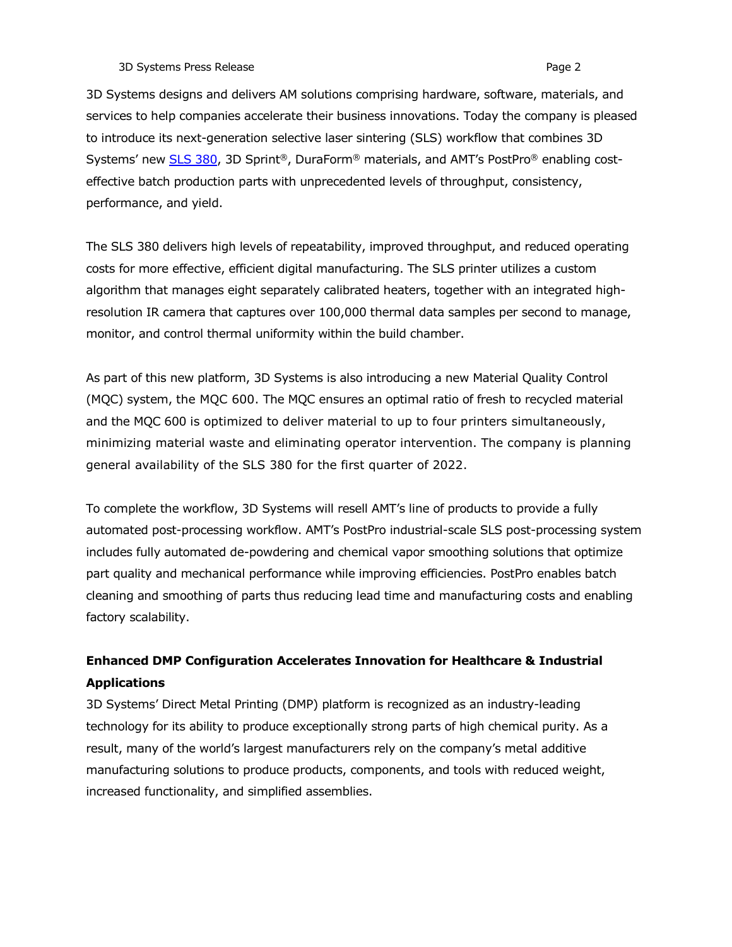3D Systems designs and delivers AM solutions comprising hardware, software, materials, and services to help companies accelerate their business innovations. Today the company is pleased to introduce its next-generation selective laser sintering (SLS) workflow that combines 3D Systems' new SLS 380, 3D Sprint®, DuraForm® materials, and AMT's PostPro® enabling costeffective batch production parts with unprecedented levels of throughput, consistency, performance, and yield.

The SLS 380 delivers high levels of repeatability, improved throughput, and reduced operating costs for more effective, efficient digital manufacturing. The SLS printer utilizes a custom algorithm that manages eight separately calibrated heaters, together with an integrated highresolution IR camera that captures over 100,000 thermal data samples per second to manage, monitor, and control thermal uniformity within the build chamber.

As part of this new platform, 3D Systems is also introducing a new Material Quality Control (MQC) system, the MQC 600. The MQC ensures an optimal ratio of fresh to recycled material and the MQC 600 is optimized to deliver material to up to four printers simultaneously, minimizing material waste and eliminating operator intervention. The company is planning general availability of the SLS 380 for the first quarter of 2022.

To complete the workflow, 3D Systems will resell AMT's line of products to provide a fully automated post-processing workflow. AMT's PostPro industrial-scale SLS post-processing system includes fully automated de-powdering and chemical vapor smoothing solutions that optimize part quality and mechanical performance while improving efficiencies. PostPro enables batch cleaning and smoothing of parts thus reducing lead time and manufacturing costs and enabling factory scalability.

## Enhanced DMP Configuration Accelerates Innovation for Healthcare & Industrial Applications

3D Systems' Direct Metal Printing (DMP) platform is recognized as an industry-leading technology for its ability to produce exceptionally strong parts of high chemical purity. As a result, many of the world's largest manufacturers rely on the company's metal additive manufacturing solutions to produce products, components, and tools with reduced weight, increased functionality, and simplified assemblies.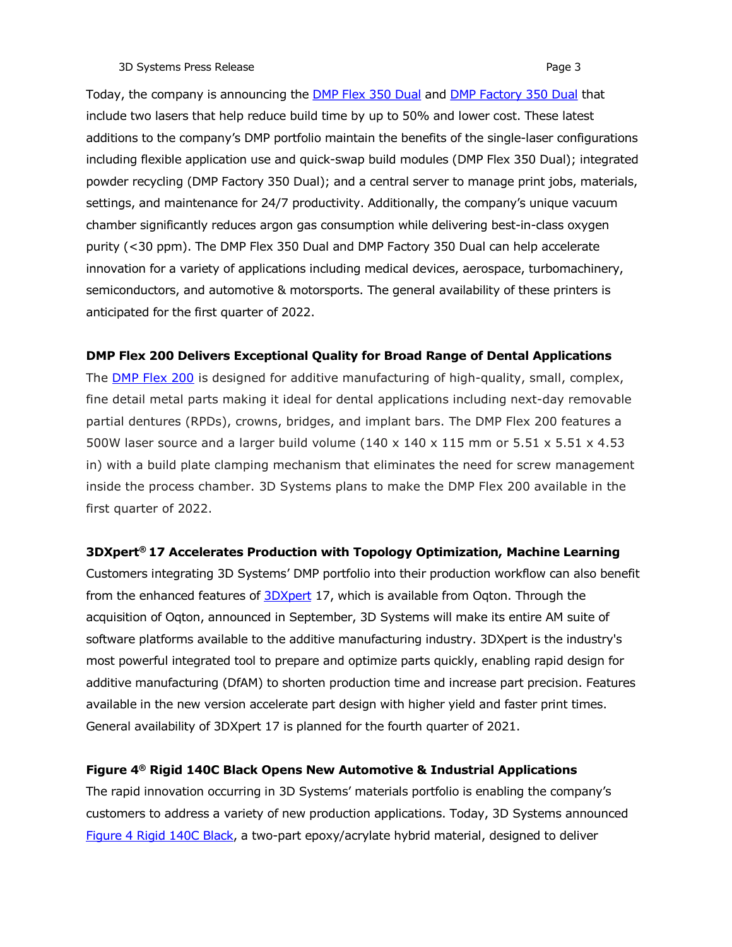3D Systems Press Release **Page 3** and the system of the system of the system of the system of the system of the system of the system of the system of the system of the system of the system of the system of the system of th

Today, the company is announcing the DMP Flex 350 Dual and DMP Factory 350 Dual that include two lasers that help reduce build time by up to 50% and lower cost. These latest additions to the company's DMP portfolio maintain the benefits of the single-laser configurations including flexible application use and quick-swap build modules (DMP Flex 350 Dual); integrated powder recycling (DMP Factory 350 Dual); and a central server to manage print jobs, materials, settings, and maintenance for 24/7 productivity. Additionally, the company's unique vacuum chamber significantly reduces argon gas consumption while delivering best-in-class oxygen purity (<30 ppm). The DMP Flex 350 Dual and DMP Factory 350 Dual can help accelerate innovation for a variety of applications including medical devices, aerospace, turbomachinery, semiconductors, and automotive & motorsports. The general availability of these printers is anticipated for the first quarter of 2022.

#### DMP Flex 200 Delivers Exceptional Quality for Broad Range of Dental Applications

The DMP Flex 200 is designed for additive manufacturing of high-quality, small, complex, fine detail metal parts making it ideal for dental applications including next-day removable partial dentures (RPDs), crowns, bridges, and implant bars. The DMP Flex 200 features a 500W laser source and a larger build volume (140 x 140 x 115 mm or 5.51 x 5.51 x 4.53 in) with a build plate clamping mechanism that eliminates the need for screw management inside the process chamber. 3D Systems plans to make the DMP Flex 200 available in the first quarter of 2022.

#### 3DXpert® 17 Accelerates Production with Topology Optimization, Machine Learning

Customers integrating 3D Systems' DMP portfolio into their production workflow can also benefit from the enhanced features of **3DXpert 17**, which is available from Oqton. Through the acquisition of Oqton, announced in September, 3D Systems will make its entire AM suite of software platforms available to the additive manufacturing industry. 3DXpert is the industry's most powerful integrated tool to prepare and optimize parts quickly, enabling rapid design for additive manufacturing (DfAM) to shorten production time and increase part precision. Features available in the new version accelerate part design with higher yield and faster print times. General availability of 3DXpert 17 is planned for the fourth quarter of 2021.

#### Figure 4® Rigid 140C Black Opens New Automotive & Industrial Applications

The rapid innovation occurring in 3D Systems' materials portfolio is enabling the company's customers to address a variety of new production applications. Today, 3D Systems announced Figure 4 Rigid 140C Black, a two-part epoxy/acrylate hybrid material, designed to deliver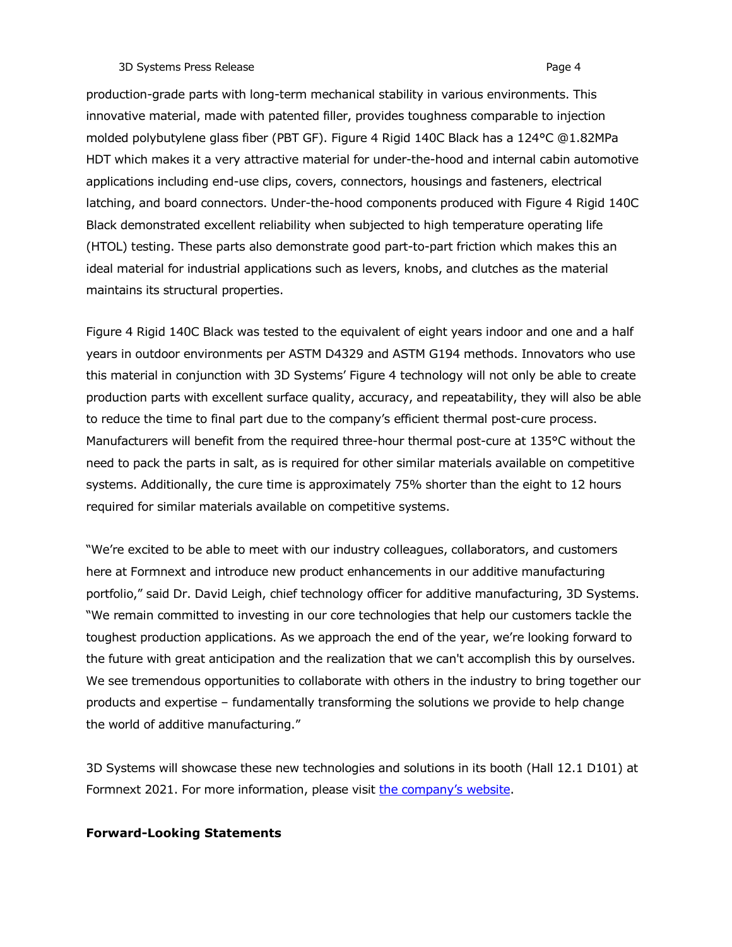#### 3D Systems Press Release **Page 4** and the system of the system of the system of the system of the system of the system of the system of the system of the system of the system of the system of the system of the system of th

production-grade parts with long-term mechanical stability in various environments. This innovative material, made with patented filler, provides toughness comparable to injection molded polybutylene glass fiber (PBT GF). Figure 4 Rigid 140C Black has a 124°C @1.82MPa HDT which makes it a very attractive material for under-the-hood and internal cabin automotive applications including end-use clips, covers, connectors, housings and fasteners, electrical latching, and board connectors. Under-the-hood components produced with Figure 4 Rigid 140C Black demonstrated excellent reliability when subjected to high temperature operating life (HTOL) testing. These parts also demonstrate good part-to-part friction which makes this an ideal material for industrial applications such as levers, knobs, and clutches as the material maintains its structural properties.

Figure 4 Rigid 140C Black was tested to the equivalent of eight years indoor and one and a half years in outdoor environments per ASTM D4329 and ASTM G194 methods. Innovators who use this material in conjunction with 3D Systems' Figure 4 technology will not only be able to create production parts with excellent surface quality, accuracy, and repeatability, they will also be able to reduce the time to final part due to the company's efficient thermal post-cure process. Manufacturers will benefit from the required three-hour thermal post-cure at 135°C without the need to pack the parts in salt, as is required for other similar materials available on competitive systems. Additionally, the cure time is approximately 75% shorter than the eight to 12 hours required for similar materials available on competitive systems.

"We're excited to be able to meet with our industry colleagues, collaborators, and customers here at Formnext and introduce new product enhancements in our additive manufacturing portfolio," said Dr. David Leigh, chief technology officer for additive manufacturing, 3D Systems. "We remain committed to investing in our core technologies that help our customers tackle the toughest production applications. As we approach the end of the year, we're looking forward to the future with great anticipation and the realization that we can't accomplish this by ourselves. We see tremendous opportunities to collaborate with others in the industry to bring together our products and expertise – fundamentally transforming the solutions we provide to help change the world of additive manufacturing."

3D Systems will showcase these new technologies and solutions in its booth (Hall 12.1 D101) at Formnext 2021. For more information, please visit the company's website.

#### Forward-Looking Statements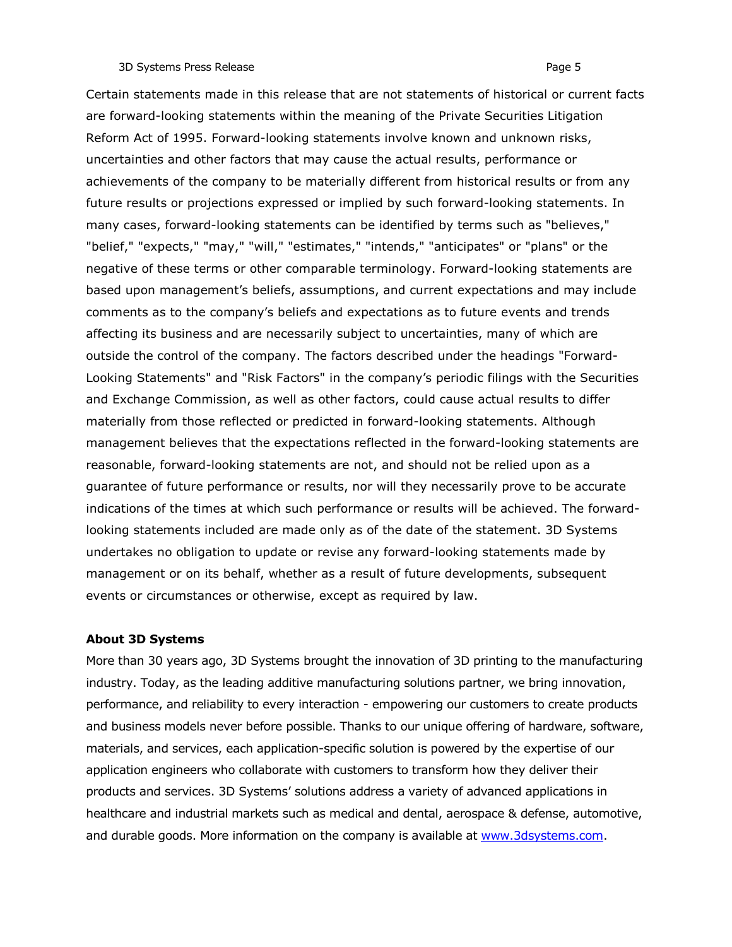#### 3D Systems Press Release **Page 5** and the system of the system of the system of the system of the system of the system of the system of the system of the system of the system of the system of the system of the system of th

Certain statements made in this release that are not statements of historical or current facts are forward-looking statements within the meaning of the Private Securities Litigation Reform Act of 1995. Forward-looking statements involve known and unknown risks, uncertainties and other factors that may cause the actual results, performance or achievements of the company to be materially different from historical results or from any future results or projections expressed or implied by such forward-looking statements. In many cases, forward-looking statements can be identified by terms such as "believes," "belief," "expects," "may," "will," "estimates," "intends," "anticipates" or "plans" or the negative of these terms or other comparable terminology. Forward-looking statements are based upon management's beliefs, assumptions, and current expectations and may include comments as to the company's beliefs and expectations as to future events and trends affecting its business and are necessarily subject to uncertainties, many of which are outside the control of the company. The factors described under the headings "Forward-Looking Statements" and "Risk Factors" in the company's periodic filings with the Securities and Exchange Commission, as well as other factors, could cause actual results to differ materially from those reflected or predicted in forward-looking statements. Although management believes that the expectations reflected in the forward-looking statements are reasonable, forward-looking statements are not, and should not be relied upon as a guarantee of future performance or results, nor will they necessarily prove to be accurate indications of the times at which such performance or results will be achieved. The forwardlooking statements included are made only as of the date of the statement. 3D Systems undertakes no obligation to update or revise any forward-looking statements made by management or on its behalf, whether as a result of future developments, subsequent events or circumstances or otherwise, except as required by law.

#### About 3D Systems

More than 30 years ago, 3D Systems brought the innovation of 3D printing to the manufacturing industry. Today, as the leading additive manufacturing solutions partner, we bring innovation, performance, and reliability to every interaction - empowering our customers to create products and business models never before possible. Thanks to our unique offering of hardware, software, materials, and services, each application-specific solution is powered by the expertise of our application engineers who collaborate with customers to transform how they deliver their products and services. 3D Systems' solutions address a variety of advanced applications in healthcare and industrial markets such as medical and dental, aerospace & defense, automotive, and durable goods. More information on the company is available at www.3dsystems.com.